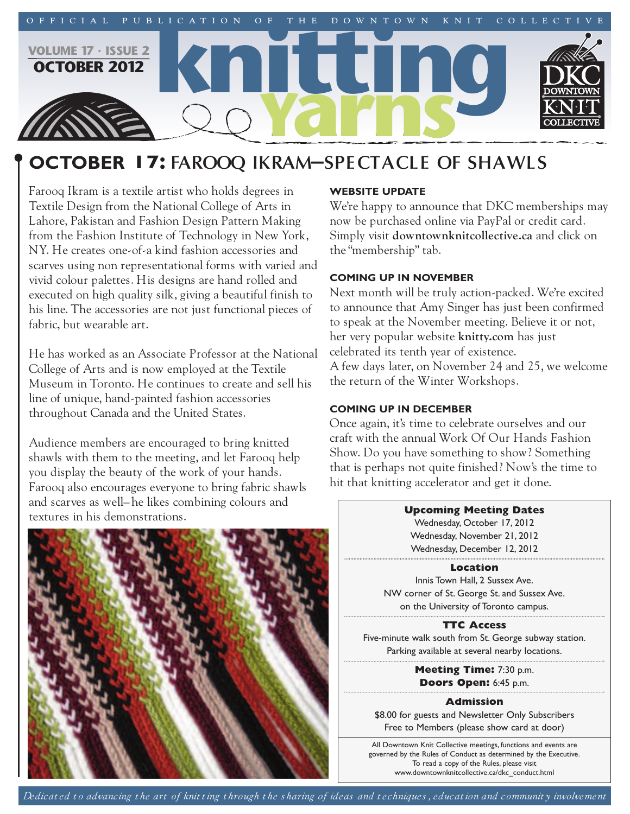

# **october 17: FAROOQ IKRAM–SPECTACLE OF SHAWLS**

Farooq Ikram is a textile artist who holds degrees in Textile Design from the National College of Arts in Lahore, Pakistan and Fashion Design Pattern Making from the Fashion Institute of Technology in New York, NY. He creates one-of-a kind fashion accessories and scarves using non representational forms with varied and vivid colour palettes. His designs are hand rolled and executed on high quality silk, giving a beautiful finish to his line. The accessories are not just functional pieces of fabric, but wearable art.

He has worked as an Associate Professor at the National College of Arts and is now employed at the Textile Museum in Toronto. He continues to create and sell his line of unique, hand-painted fashion accessories throughout Canada and the United States.

Audience members are encouraged to bring knitted shawls with them to the meeting, and let Farooq help you display the beauty of the work of your hands. Farooq also encourages everyone to bring fabric shawls and scarves as well– he likes combining colours and textures in his demonstrations.



#### **Website Update**

We're happy to announce that DKC memberships may now be purchased online via PayPal or credit card. Simply visit **downtownknitcollective.ca** and click on the "membership" tab.

# **coming Up in november**

Next month will be truly action-packed. We're excited to announce that Amy Singer has just been confirmed to speak at the November meeting. Believe it or not, her very popular website **knitty.com** has just celebrated its tenth year of existence.

A few days later, on November 24 and 25, we welcome the return of the Winter Workshops.

## **coming Up in december**

Once again, it's time to celebrate ourselves and our craft with the annual Work Of Our Hands Fashion Show. Do you have something to show? Something that is perhaps not quite finished? Now's the time to hit that knitting accelerator and get it done.



## **Location**

Innis Town Hall, 2 Sussex Ave. NW corner of St. George St. and Sussex Ave. on the University of Toronto campus.

**TTC Access**

Five-minute walk south from St. George subway station. Parking available at several nearby locations.

> **Meeting Time:** 7:30 p.m. **Doors Open:** 6:45 p.m.

## **Admission**

\$8.00 for guests and Newsletter Only Subscribers Free to Members (please show card at door)

All Downtown Knit Collective meetings, functions and events are governed by the Rules of Conduct as determined by the Executive. To read a copy of the Rules, please visit www.downtownknitcollective.ca/dkc\_conduct.html

Dedicated to advancing the art of knitting through the sharing of ideas and techniques, education and community involvement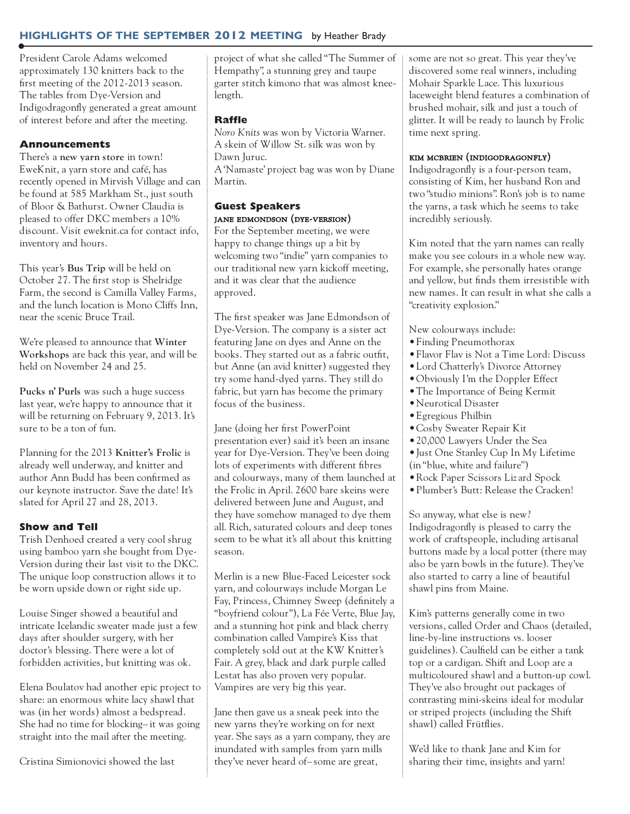# **highlights of the september 2012 meeting** by Heather Brady

President Carole Adams welcomed approximately 130 knitters back to the first meeting of the 2012-2013 season. The tables from Dye-Version and Indigodragonfly generated a great amount of interest before and after the meeting.

### **Announcements**

There's a **new yarn store** in town! EweKnit, a yarn store and café, has recently opened in Mirvish Village and can be found at 585 Markham St., just south of Bloor & Bathurst. Owner Claudia is pleased to offer DKC members a 10% discount. Visit eweknit.ca for contact info, inventory and hours.

This year's **Bus Trip** will be held on October 27. The first stop is Shelridge Farm, the second is Camilla Valley Farms, and the lunch location is Mono Cliffs Inn, near the scenic Bruce Trail.

We're pleased to announce that **Winter Workshops** are back this year, and will be held on November 24 and 25.

**Pucks n' Purls** was such a huge success last year, we're happy to announce that it will be returning on February 9, 2013. It's sure to be a ton of fun.

Planning for the 2013 **Knitter's Frolic** is already well underway, and knitter and author Ann Budd has been confirmed as our keynote instructor. Save the date! It's slated for April 27 and 28, 2013.

## **Show and Tell**

Trish Denhoed created a very cool shrug using bamboo yarn she bought from Dye-Version during their last visit to the DKC. The unique loop construction allows it to be worn upside down or right side up.

Louise Singer showed a beautiful and intricate Icelandic sweater made just a few days after shoulder surgery, with her doctor's blessing. There were a lot of forbidden activities, but knitting was ok.

Elena Boulatov had another epic project to share: an enormous white lacy shawl that was (in her words) almost a bedspread. She had no time for blocking– it was going straight into the mail after the meeting.

Cristina Simionovici showed the last

project of what she called "The Summer of Hempathy", a stunning grey and taupe garter stitch kimono that was almost kneelength.

#### **Raffle**

*Noro Knits* was won by Victoria Warner. A skein of Willow St. silk was won by Dawn Juruc. A'Namaste' project bag was won by Diane

Martin.

## **Guest Speakers** jane edmondson (dye-version)

For the September meeting, we were happy to change things up a bit by welcoming two "indie" yarn companies to our traditional new yarn kickoff meeting, and it was clear that the audience approved.

The first speaker was Jane Edmondson of Dye-Version. The company is a sister act featuring Jane on dyes and Anne on the books. They started out as a fabric outfit, but Anne (an avid knitter) suggested they try some hand-dyed yarns. They still do fabric, but yarn has become the primary focus of the business.

Jane (doing her first PowerPoint presentation ever) said it's been an insane year for Dye-Version. They've been doing lots of experiments with different fibres and colourways, many of them launched at the Frolic in April. 2600 bare skeins were delivered between June and August, and they have somehow managed to dye them all. Rich, saturated colours and deep tones seem to be what it's all about this knitting season.

Merlin is a new Blue-Faced Leicester sock yarn, and colourways include Morgan Le Fay, Princess, Chimney Sweep (definitely a "boyfriend colour"), La Fée Verte, Blue Jay, and a stunning hot pink and black cherry combination called Vampire's Kiss that completely sold out at the KW Knitter's Fair. A grey, black and dark purple called Lestat has also proven very popular. Vampires are very big this year.

Jane then gave us a sneak peek into the new yarns they're working on for next year. She says as a yarn company, they are inundated with samples from yarn mills they've never heard of– some are great,

some are not so great. This year they've discovered some real winners, including Mohair Sparkle Lace. This luxurious laceweight blend features a combination of brushed mohair, silk and just a touch of glitter. It will be ready to launch by Frolic time next spring.

#### kim mcbrien (indigodragonfly)

Indigodragonfly is a four-person team, consisting of Kim, her husband Ron and two "studio minions". Ron's job is to name the yarns, a task which he seems to take incredibly seriously.

Kim noted that the yarn names can really make you see colours in a whole new way. For example, she personally hates orange and yellow, but finds them irresistible with new names. It can result in what she calls a "creativity explosion."

New colourways include:

- •Finding Pneumothorax
- •Flavor Flav is Not a Time Lord: Discuss
- •Lord Chatterly's Divorce Attorney
- •Obviously I'm the Doppler Effect
- •The Importance of Being Kermit
- •Neurotical Disaster
- •Egregious Philbin
- •Cosby Sweater Repair Kit
- •20,000 Lawyers Under the Sea
- •Just One Stanley Cup In My Lifetime (in "blue, white and failure")
- •Rock Paper Scissors Liz ard Spock
- •Plumber's Butt: Release the Cracken!

So anyway, what else is new? Indigodragonfly is pleased to carry the work of craftspeople, including artisanal buttons made by a local potter (there may also be yarn bowls in the future). They've also started to carry a line of beautiful shawl pins from Maine.

Kim's patterns generally come in two versions, called Order and Chaos (detailed, line-by-line instructions vs. looser guidelines). Caulfield can be either a tank top or a cardigan. Shift and Loop are a multicoloured shawl and a button-up cowl. They've also brought out packages of contrasting mini-skeins ideal for modular or striped projects (including the Shift shawl) called Frütflies.

We'd like to thank Jane and Kim for sharing their time, insights and yarn!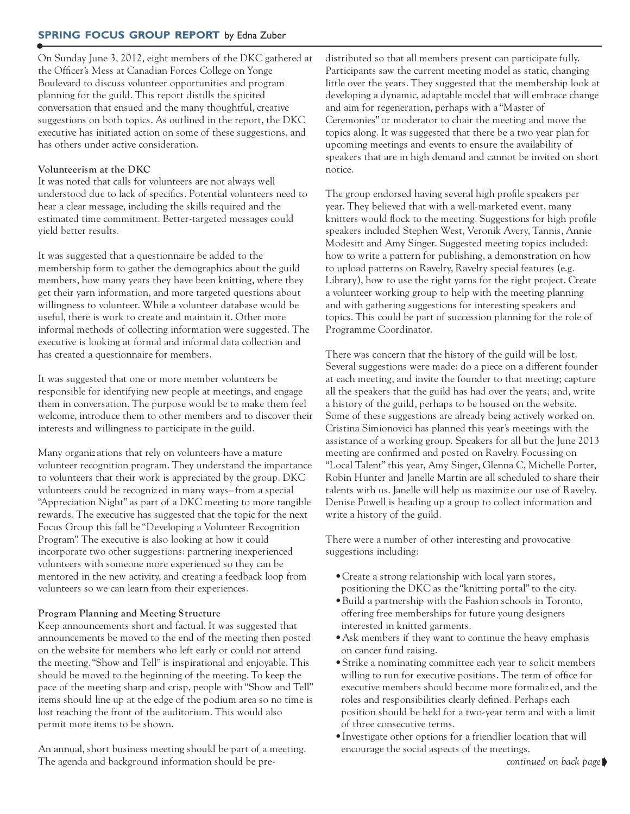On Sunday June 3, 2012, eight members of the DKC gathered at the Officer's Mess at Canadian Forces College on Yonge Boulevard to discuss volunteer opportunities and program planning for the guild. This report distills the spirited conversation that ensued and the many thoughtful, creative suggestions on both topics. As outlined in the report, the DKC executive has initiated action on some of these suggestions, and has others under active consideration.

### **Volunteerism at the DKC**

It was noted that calls for volunteers are not always well understood due to lack of specifics. Potential volunteers need to hear a clear message, including the skills required and the estimated time commitment. Better-targeted messages could yield better results.

It was suggested that a questionnaire be added to the membership form to gather the demographics about the guild members, how many years they have been knitting, where they get their yarn information, and more targeted questions about willingness to volunteer. While a volunteer database would be useful, there is work to create and maintain it. Other more informal methods of collecting information were suggested. The executive is looking at formal and informal data collection and has created a questionnaire for members.

It was suggested that one or more member volunteers be responsible for identifying new people at meetings, and engage them in conversation. The purpose would be to make them feel welcome, introduce them to other members and to discover their interests and willingness to participate in the guild.

Many organiz ations that rely on volunteers have a mature volunteer recognition program. They understand the importance to volunteers that their work is appreciated by the group. DKC volunteers could be recogniz ed in many ways– from a special "Appreciation Night" as part of a DKC meeting to more tangible rewards. The executive has suggested that the topic for the next Focus Group this fall be "Developing a Volunteer Recognition Program". The executive is also looking at how it could incorporate two other suggestions: partnering inexperienced volunteers with someone more experienced so they can be mentored in the new activity, and creating a feedback loop from volunteers so we can learn from their experiences.

#### **Program Planning and Meeting Structure**

Keep announcements short and factual. It was suggested that announcements be moved to the end of the meeting then posted on the website for members who left early or could not attend the meeting."Show and Tell" is inspirational and enjoyable. This should be moved to the beginning of the meeting. To keep the pace of the meeting sharp and crisp, people with "Show and Tell" items should line up at the edge of the podium area so no time is lost reaching the front of the auditorium. This would also permit more items to be shown.

An annual, short business meeting should be part of a meeting. The agenda and background information should be predistributed so that all members present can participate fully. Participants saw the current meeting model as static, changing little over the years. They suggested that the membership look at developing a dynamic, adaptable model that will embrace change and aim for regeneration, perhaps with a "Master of Ceremonies" or moderator to chair the meeting and move the topics along. It was suggested that there be a two year plan for upcoming meetings and events to ensure the availability of speakers that are in high demand and cannot be invited on short notice.

The group endorsed having several high profile speakers per year. They believed that with a well-marketed event, many knitters would flock to the meeting. Suggestions for high profile speakers included Stephen West, Veronik Avery, Tannis, Annie Modesitt and Amy Singer. Suggested meeting topics included: how to write a pattern for publishing, a demonstration on how to upload patterns on Ravelry, Ravelry special features (e.g. Library), how to use the right yarns for the right project. Create a volunteer working group to help with the meeting planning and with gathering suggestions for interesting speakers and topics. This could be part of succession planning for the role of Programme Coordinator.

There was concern that the history of the guild will be lost. Several suggestions were made: do a piece on a different founder at each meeting, and invite the founder to that meeting; capture all the speakers that the guild has had over the years; and, write a history of the guild, perhaps to be housed on the website. Some of these suggestions are already being actively worked on. Cristina Simionovici has planned this year's meetings with the assistance of a working group. Speakers for all but the June 2013 meeting are confirmed and posted on Ravelry. Focussing on "Local Talent" this year, Amy Singer, Glenna C, Michelle Porter, Robin Hunter and Janelle Martin are all scheduled to share their talents with us. Janelle will help us maximiz e our use of Ravelry. Denise Powell is heading up a group to collect information and write a history of the guild.

There were a number of other interesting and provocative suggestions including:

- •Create a strong relationship with local yarn stores, positioning the DKC as the "knitting portal" to the city.
- •Build a partnership with the Fashion schools in Toronto, offering free memberships for future young designers interested in knitted garments.
- •Ask members if they want to continue the heavy emphasis on cancer fund raising.
- •Strike a nominating committee each year to solicit members willing to run for executive positions. The term of office for executive members should become more formaliz ed, and the roles and responsibilities clearly defined. Perhaps each position should be held for a two-year term and with a limit of three consecutive terms.
- •Investigate other options for a friendlier location that will encourage the social aspects of the meetings.